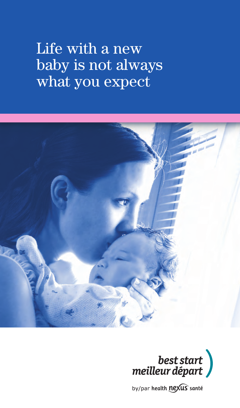# Life with a new baby is not always what you expect





by/par health nexus santé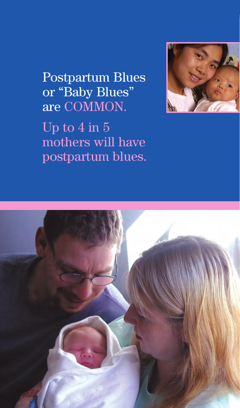Postpartum Blues or "Baby Blues" are COMMON. Up to 4 in 5 mothers will have postpartum blues.



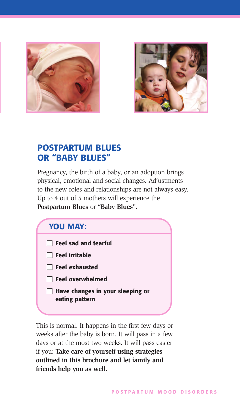



#### **POSTPARTUM BLUES OR "BABY BLUES"**

Pregnancy, the birth of a baby, or an adoption brings physical, emotional and social changes. Adjustments to the new roles and relationships are not always easy. Up to 4 out of 5 mothers will experience the **Postpartum Blues** or **"Baby Blues"**.

| <b>YOU MAY:</b>                                              |  |
|--------------------------------------------------------------|--|
| $\Box$ Feel sad and tearful                                  |  |
| $\Box$ Feel irritable                                        |  |
| <b>The Feel exhausted</b>                                    |  |
| $\Box$ Feel overwhelmed                                      |  |
| Have changes in your sleeping or<br>$\Box$<br>eating pattern |  |
|                                                              |  |

This is normal. It happens in the first few days or weeks after the baby is born. It will pass in a few days or at the most two weeks. It will pass easier if you: **Take care of yourself using strategies outlined in this brochure and let family and friends help you as well.**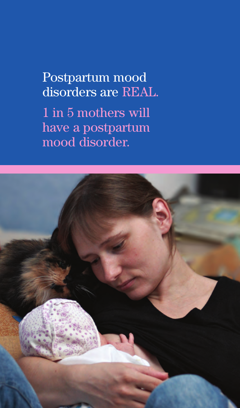## Postpartum mood disorders are REAL.

1 in 5 mothers will have a postpartum mood disorder.

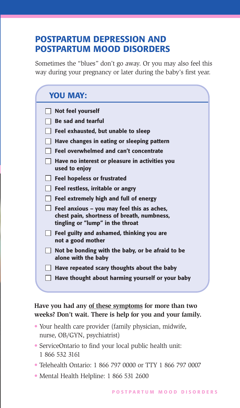#### **POSTPARTUM DEPRESSION AND POSTPARTUM MOOD DISORDERS**

Sometimes the "blues" don't go away. Or you may also feel this way during your pregnancy or later during the baby's first year.

| <b>YOU MAY:</b>                                                                                                              |
|------------------------------------------------------------------------------------------------------------------------------|
| Not feel yourself                                                                                                            |
| <b>Be sad and tearful</b>                                                                                                    |
| Feel exhausted, but unable to sleep                                                                                          |
| Have changes in eating or sleeping pattern                                                                                   |
| Feel overwhelmed and can't concentrate                                                                                       |
| Have no interest or pleasure in activities you<br>used to enjoy                                                              |
| <b>Feel hopeless or frustrated</b>                                                                                           |
| Feel restless, irritable or angry                                                                                            |
| Feel extremely high and full of energy                                                                                       |
| Feel anxious – you may feel this as aches,<br>chest pain, shortness of breath, numbness,<br>tingling or "lump" in the throat |
| Feel guilty and ashamed, thinking you are<br>not a good mother                                                               |
| Not be bonding with the baby, or be afraid to be<br>alone with the baby                                                      |
| Have repeated scary thoughts about the baby                                                                                  |
| Have thought about harming yourself or your baby                                                                             |

**Have you had any of these symptoms for more than two weeks? Don't wait. There is help for you and your family.**

- Your health care provider (family physician, midwife, nurse, OB/GYN, psychiatrist)
- ServiceOntario to find your local public health unit: 1 866 532 3161
- Telehealth Ontario: 1 866 797 0000 or TTY 1 866 797 0007
- Mental Health Helpline: 1 866 531 2600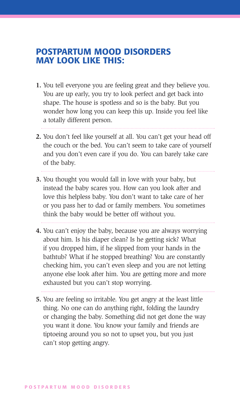#### **POSTPARTUM MOOD DISORDERS MAY LOOK LIKE THIS:**

- **1.** You tell everyone you are feeling great and they believe you. You are up early, you try to look perfect and get back into shape. The house is spotless and so is the baby. But you wonder how long you can keep this up. Inside you feel like a totally different person.
	-
- **2.** You don't feel like yourself at all. You can't get your head off the couch or the bed. You can't seem to take care of yourself and you don't even care if you do. You can barely take care of the baby.
- **3.** You thought you would fall in love with your baby, but instead the baby scares you. How can you look after and love this helpless baby. You don't want to take care of her or you pass her to dad or family members. You sometimes think the baby would be better off without you.
- **4.** You can't enjoy the baby, because you are always worrying about him. Is his diaper clean? Is he getting sick? What if you dropped him, if he slipped from your hands in the bathtub? What if he stopped breathing? You are constantly checking him, you can't even sleep and you are not letting anyone else look after him. You are getting more and more exhausted but you can't stop worrying.

**5.** You are feeling so irritable. You get angry at the least little thing. No one can do anything right, folding the laundry or changing the baby. Something did not get done the way you want it done. You know your family and friends are tiptoeing around you so not to upset you, but you just can't stop getting angry.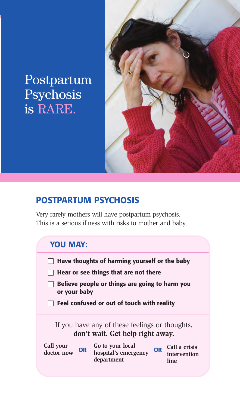### Postpartum Psychosis is RARE.



#### **POSTPARTUM PSYCHOSIS**

Very rarely mothers will have postpartum psychosis. This is a serious illness with risks to mother and baby.

### **YOU MAY:**

- **Have thoughts of harming yourself or the baby**
- $\Box$  Hear or see things that are not there
- **Believe people or things are going to harm you or your baby**
- **Feel confused or out of touch with reality**

If you have any of these feelings or thoughts, **don't wait. Get help right away.** 

| Call your<br>doctor now | OR | Go to your local<br>hospital's emergency<br>department | <b>OR</b> | Call a crisis<br>intervention<br>line |
|-------------------------|----|--------------------------------------------------------|-----------|---------------------------------------|
|                         |    |                                                        |           |                                       |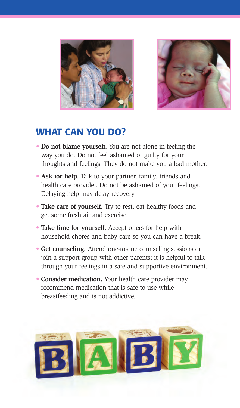



#### **WHAT CAN YOU DO?**

- **Do not blame yourself.** You are not alone in feeling the way you do. Do not feel ashamed or guilty for your thoughts and feelings. They do not make you a bad mother.
- **Ask for help.** Talk to your partner, family, friends and health care provider. Do not be ashamed of your feelings. Delaying help may delay recovery.
- **Take care of yourself.** Try to rest, eat healthy foods and get some fresh air and exercise.
- **Take time for yourself.** Accept offers for help with household chores and baby care so you can have a break.
- **Get counseling.** Attend one-to-one counseling sessions or join a support group with other parents; it is helpful to talk through your feelings in a safe and supportive environment.
- **Consider medication.** Your health care provider may recommend medication that is safe to use while breastfeeding and is not addictive.

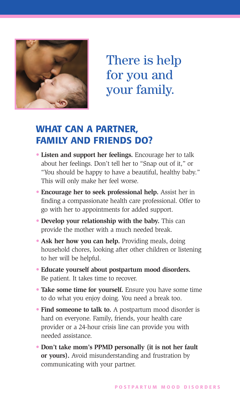

There is help for you and your family.

#### **WHAT CAN A PARTNER, FAMILY AND FRIENDS DO?**

- **Listen and support her feelings.** Encourage her to talk about her feelings. Don't tell her to "Snap out of it," or "You should be happy to have a beautiful, healthy baby." This will only make her feel worse.
- **Encourage her to seek professional help.** Assist her in finding a compassionate health care professional. Offer to go with her to appointments for added support.
- **Develop your relationship with the baby.** This can provide the mother with a much needed break.
- Ask her how you can help. Providing meals, doing household chores, looking after other children or listening to her will be helpful.
- **Educate yourself about postpartum mood disorders.** Be patient. It takes time to recover.
- **Take some time for yourself.** Ensure you have some time to do what you enjoy doing. You need a break too.
- **Find someone to talk to.** A postpartum mood disorder is hard on everyone. Family, friends, your health care provider or a 24-hour crisis line can provide you with needed assistance.
- **Don't take mom's PPMD personally (it is not her fault or yours).** Avoid misunderstanding and frustration by communicating with your partner.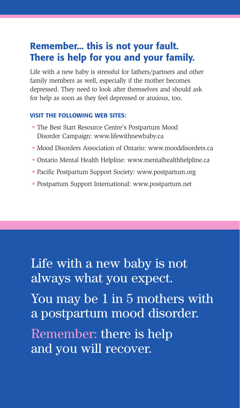### **Remember... this is not your fault. There is help for you and your family.**

Life with a new baby is stressful for fathers/partners and other family members as well, especially if the mother becomes depressed. They need to look after themselves and should ask for help as soon as they feel depressed or anxious, too.

#### **VISIT THE FOLLOWING WEB SITES:**

- The Best Start Resource Centre's Postpartum Mood Disorder Campaign: www.lifewithnewbaby.ca
- Mood Disorders Association of Ontario: www.mooddisorders.ca
- Ontario Mental Health Helpline: www.mentalhealthhelpline.ca
- Pacific Postpartum Support Society: www.postpartum.org
- Postpartum Support International: www.postpartum.net

Life with a new baby is not always what you expect.

You may be 1 in 5 mothers with a postpartum mood disorder.

Remember: there is help and you will recover.